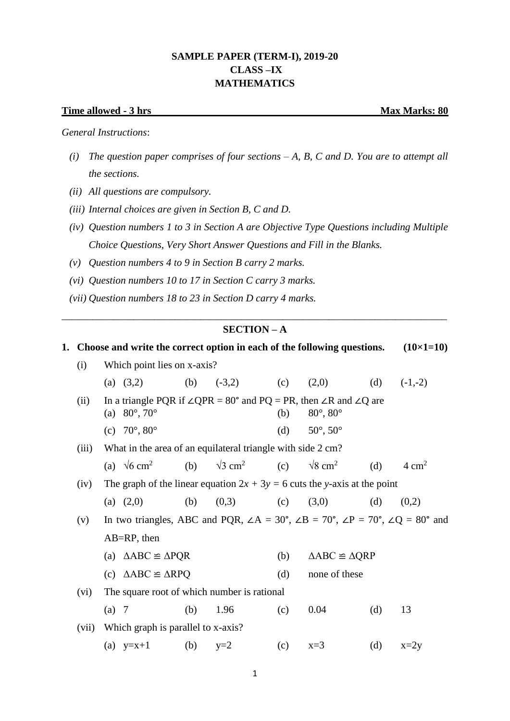# **SAMPLE PAPER (TERM-I), 2019-20 CLASS –IX MATHEMATICS**

### **Time allowed - 3 hrs** Max Marks: 80

#### *General Instructions*:

- *(i) The question paper comprises of four sections – A, B, C and D. You are to attempt all the sections.*
- *(ii) All questions are compulsory.*
- *(iii) Internal choices are given in Section B, C and D.*
- *(iv) Question numbers 1 to 3 in Section A are Objective Type Questions including Multiple Choice Questions, Very Short Answer Questions and Fill in the Blanks.*
- *(v) Question numbers 4 to 9 in Section B carry 2 marks.*
- *(vi) Question numbers 10 to 17 in Section C carry 3 marks.*
- *(vii) Question numbers 18 to 23 in Section D carry 4 marks.*

# \_\_\_\_\_\_\_\_\_\_\_\_\_\_\_\_\_\_\_\_\_\_\_\_\_\_\_\_\_\_\_\_\_\_\_\_\_\_\_\_\_\_\_\_\_\_\_\_\_\_\_\_\_\_\_\_\_\_\_\_\_\_\_\_\_\_\_\_\_\_\_\_\_\_\_ **SECTION – A**

| 1. |       | Choose and write the correct option in each of the following questions.<br>$(10\times1=10)$                                                               |                                |     |                            |                                     |                            |     |                  |
|----|-------|-----------------------------------------------------------------------------------------------------------------------------------------------------------|--------------------------------|-----|----------------------------|-------------------------------------|----------------------------|-----|------------------|
|    | (i)   | Which point lies on x-axis?                                                                                                                               |                                |     |                            |                                     |                            |     |                  |
|    |       |                                                                                                                                                           | (a) $(3,2)$                    | (b) | $(-3,2)$                   | (c)                                 | (2,0)                      | (d) | $(-1,-2)$        |
|    | (ii)  | In a triangle PQR if $\angle$ QPR = 80° and PQ = PR, then $\angle$ R and $\angle$ Q are<br>$80^{\circ}, 70^{\circ}$<br>(b)<br>$80^\circ, 80^\circ$<br>(a) |                                |     |                            |                                     |                            |     |                  |
|    |       |                                                                                                                                                           | (c) $70^{\circ}, 80^{\circ}$   |     |                            | (d)                                 | $50^{\circ}, 50^{\circ}$   |     |                  |
|    | (iii) | What in the area of an equilateral triangle with side 2 cm?                                                                                               |                                |     |                            |                                     |                            |     |                  |
|    |       |                                                                                                                                                           | (a) $\sqrt{6}$ cm <sup>2</sup> | (b) | $\sqrt{3}$ cm <sup>2</sup> | (c)                                 | $\sqrt{8}$ cm <sup>2</sup> | (d) | $4 \text{ cm}^2$ |
|    | (iv)  | The graph of the linear equation $2x + 3y = 6$ cuts the y-axis at the point                                                                               |                                |     |                            |                                     |                            |     |                  |
|    |       |                                                                                                                                                           | (a) $(2,0)$                    | (b) | (0,3)                      | (c)                                 | (3,0)                      | (d) | (0,2)            |
|    | (v)   | In two triangles, ABC and PQR, $\angle A = 30^{\circ}$ , $\angle B = 70^{\circ}$ , $\angle P = 70^{\circ}$ , $\angle Q = 80^{\circ}$ and                  |                                |     |                            |                                     |                            |     |                  |
|    |       |                                                                                                                                                           | $AB = RP$ , then               |     |                            |                                     |                            |     |                  |
|    |       | (a) $\triangle ABC \cong \triangle PQR$                                                                                                                   |                                |     | (b)                        | $\triangle ABC \cong \triangle QRP$ |                            |     |                  |
|    |       | (c) $\triangle ABC \cong \triangle R P Q$                                                                                                                 |                                |     | (d)                        | none of these                       |                            |     |                  |
|    | (vi)  | The square root of which number is rational                                                                                                               |                                |     |                            |                                     |                            |     |                  |
|    |       | $(a)$ 7                                                                                                                                                   |                                | (b) | 1.96                       | (c)                                 | 0.04                       | (d) | 13               |
|    | (vii) | Which graph is parallel to x-axis?                                                                                                                        |                                |     |                            |                                     |                            |     |                  |
|    |       |                                                                                                                                                           | (a) $y=x+1$                    | (b) | $y=2$                      | (c)                                 | $x=3$                      | (d) | $x=2y$           |
|    |       |                                                                                                                                                           |                                |     |                            |                                     |                            |     |                  |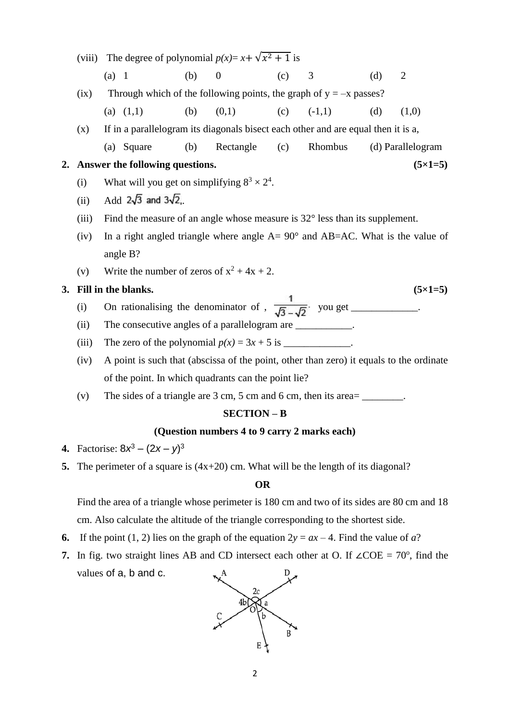(viii) The degree of polynomial  $p(x)=x+\sqrt{x^2+1}$  is (a) 1 (b) 0 (c) 3 (d) 2

(ix) Through which of the following points, the graph of  $y = -x$  passes?

(a)  $(1,1)$  (b)  $(0,1)$  (c)  $(-1,1)$  (d)  $(1,0)$ 

(x) If in a parallelogram its diagonals bisect each other and are equal then it is a,

(a) Square (b) Rectangle (c) Rhombus (d) Parallelogram

## **2. Answer the following questions. (5×1=5)**

- (i) What will you get on simplifying  $8^3 \times 2^4$ .
- (ii) Add  $2\sqrt{3}$  and  $3\sqrt{2}$ ,
- (iii) Find the measure of an angle whose measure is 32° less than its supplement.
- (iv) In a right angled triangle where angle  $A = 90^\circ$  and  $AB = AC$ . What is the value of angle B?
- (v) Write the number of zeros of  $x^2 + 4x + 2$ .

# **3.** Fill in the blanks.  $(5 \times 1 = 5)$

- (i) On rationalising the denominator of ,  $\frac{1}{\sqrt{3}-\sqrt{2}}$  you get \_\_\_\_\_\_\_\_\_\_\_.
- (ii) The consecutive angles of a parallelogram are  $\qquad \qquad$ .
- (iii) The zero of the polynomial  $p(x) = 3x + 5$  is
- (iv) A point is such that (abscissa of the point, other than zero) it equals to the ordinate of the point. In which quadrants can the point lie?
- (v) The sides of a triangle are  $3 \text{ cm}$ ,  $5 \text{ cm}$  and  $6 \text{ cm}$ , then its area=

## **SECTION – B**

## **(Question numbers 4 to 9 carry 2 marks each)**

- **4.** Factorise:  $8x^3 (2x y)^3$
- **5.** The perimeter of a square is  $(4x+20)$  cm. What will be the length of its diagonal?

## **OR**

Find the area of a triangle whose perimeter is 180 cm and two of its sides are 80 cm and 18 cm. Also calculate the altitude of the triangle corresponding to the shortest side.

- **6.** If the point (1, 2) lies on the graph of the equation  $2y = ax 4$ . Find the value of a?
- 7. In fig. two straight lines AB and CD intersect each other at O. If ∠COE =  $70^{\circ}$ , find the values of a, b and c.

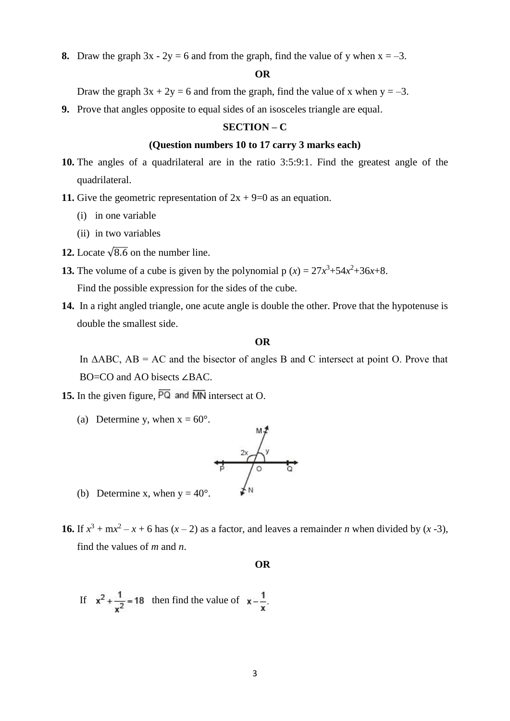**8.** Draw the graph  $3x - 2y = 6$  and from the graph, find the value of y when  $x = -3$ .

## **OR**

Draw the graph  $3x + 2y = 6$  and from the graph, find the value of x when  $y = -3$ .

**9.** Prove that angles opposite to equal sides of an isosceles triangle are equal.

### **SECTION – C**

## **(Question numbers 10 to 17 carry 3 marks each)**

- **10.** The angles of a quadrilateral are in the ratio 3:5:9:1. Find the greatest angle of the quadrilateral.
- **11.** Give the geometric representation of  $2x + 9=0$  as an equation.
	- (i) in one variable
	- (ii) in two variables
- **12.** Locate  $\sqrt{8.6}$  on the number line.
- **13.** The volume of a cube is given by the polynomial  $p(x) = 27x^3 + 54x^2 + 36x + 8$ . Find the possible expression for the sides of the cube*.*
- **14.** In a right angled triangle, one acute angle is double the other. Prove that the hypotenuse is double the smallest side.

### **OR**

In  $\triangle ABC$ ,  $AB = AC$  and the bisector of angles B and C intersect at point O. Prove that BO=CO and AO bisects ∠BAC.

- **15.** In the given figure,  $\overline{PQ}$  and  $\overline{MN}$  intersect at O.
	- (a) Determine y, when  $x = 60^\circ$ .



- (b) Determine x, when  $y = 40^\circ$ .
- **16.** If  $x^3 + mx^2 x + 6$  has  $(x 2)$  as a factor, and leaves a remainder *n* when divided by  $(x 3)$ , find the values of *m* and *n*.

### **OR**

If 
$$
x^2 + \frac{1}{x^2} = 18
$$
 then find the value of  $x - \frac{1}{x}$ .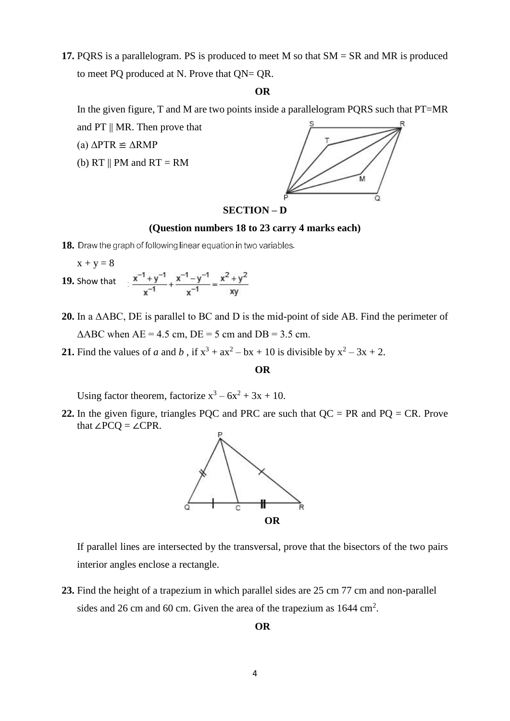**17.** PQRS is a parallelogram. PS is produced to meet M so that SM = SR and MR is produced to meet PQ produced at N. Prove that QN= QR.

#### **OR**

In the given figure, T and M are two points inside a parallelogram PORS such that  $PT=MR$ 

and PT || MR. Then prove that

(a) ΔPTR ≌ ΔRMP

(b)  $RT \parallel PM$  and  $RT = RM$ 



### **SECTION – D**

#### **(Question numbers 18 to 23 carry 4 marks each)**

18. Draw the graph of following linear equation in two variables.

$$
x + y = 8
$$

- **19.** Show that  $\frac{x^{-1}+y^{-1}}{x^{-1}}+\frac{x^{-1}-y^{-1}}{x^{-1}}=\frac{x^2+y^2}{xy}$
- **20.** In a ΔABC, DE is parallel to BC and D is the mid-point of side AB. Find the perimeter of  $\triangle$ ABC when AE = 4.5 cm, DE = 5 cm and DB = 3.5 cm.
- **21.** Find the values of *a* and *b*, if  $x^3 + ax^2 bx + 10$  is divisible by  $x^2 3x + 2$ .

#### **OR**

Using factor theorem, factorize  $x^3 - 6x^2 + 3x + 10$ .

**22.** In the given figure, triangles PQC and PRC are such that QC = PR and PQ = CR. Prove that ∠PCQ = ∠CPR.



If parallel lines are intersected by the transversal, prove that the bisectors of the two pairs interior angles enclose a rectangle.

**23.** Find the height of a trapezium in which parallel sides are 25 cm 77 cm and non-parallel sides and 26 cm and 60 cm. Given the area of the trapezium as  $1644 \text{ cm}^2$ .

### **OR**